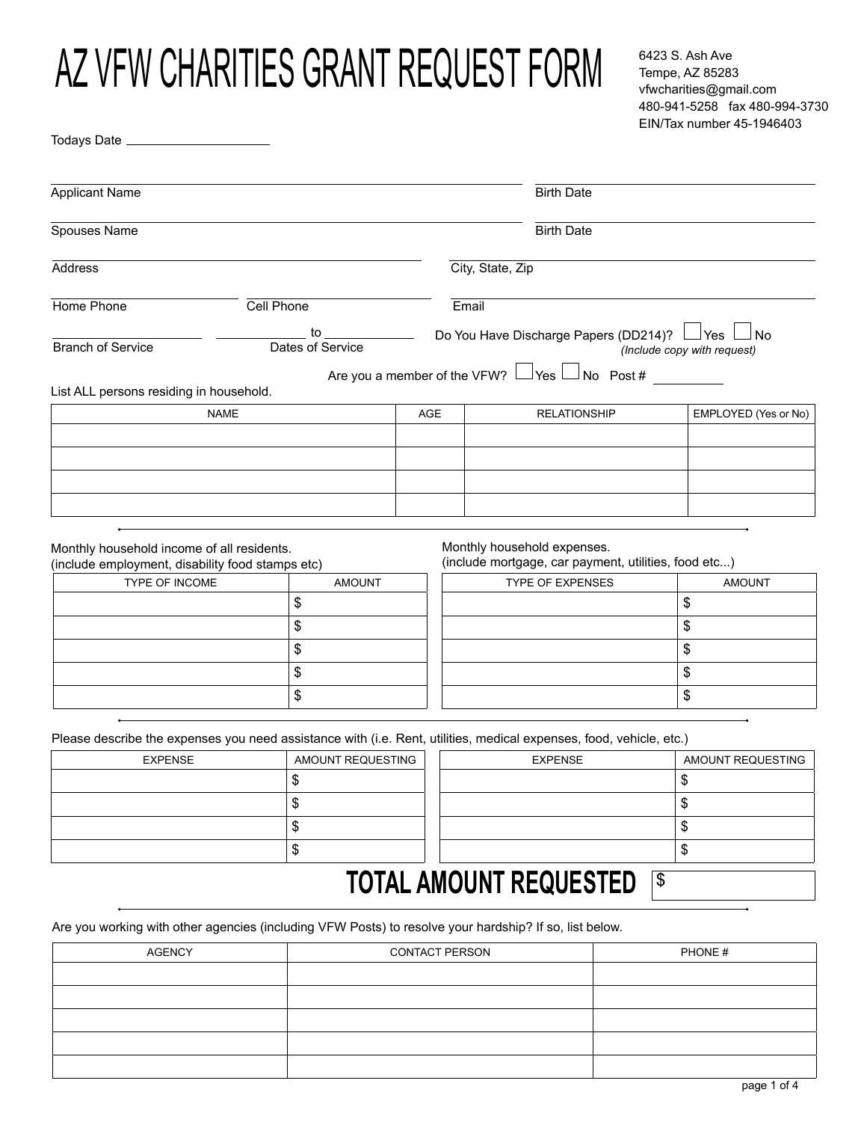# AZ VFW CHARITIES GRANT REQUEST FORM

Todays Date \_\_\_\_\_\_\_\_\_\_\_\_\_

6423 S. Ash Ave Tempe, AZ 85283 vfwcharities@gmail.com 480-941-5258 fax 480-994-3730 EIN/Tax number 45-1946403

| <b>Applicant Name</b>                                                                                                   |                        |     |                                                                                                                         | <b>Birth Date</b>                                                               |                      |  |
|-------------------------------------------------------------------------------------------------------------------------|------------------------|-----|-------------------------------------------------------------------------------------------------------------------------|---------------------------------------------------------------------------------|----------------------|--|
| Spouses Name                                                                                                            |                        |     | <b>Birth Date</b>                                                                                                       |                                                                                 |                      |  |
| Address                                                                                                                 |                        |     | City, State, Zip                                                                                                        |                                                                                 |                      |  |
|                                                                                                                         |                        |     |                                                                                                                         |                                                                                 |                      |  |
| Home Phone                                                                                                              | Cell Phone             |     | Email<br>──────────────Do You Have Discharge Papers (DD214)?  └─┘Yes <sup>│</sup><br>⊿ L<br>(Include copy with request) |                                                                                 |                      |  |
| <b>Branch of Service</b>                                                                                                | to<br>Dates of Service |     |                                                                                                                         |                                                                                 |                      |  |
|                                                                                                                         |                        |     | Are you a member of the VFW? $\vert$                                                                                    | $\Box$ No Post #<br>_lYes l                                                     |                      |  |
| List ALL persons residing in household.<br><b>NAME</b>                                                                  |                        | AGE |                                                                                                                         | <b>RELATIONSHIP</b>                                                             | EMPLOYED (Yes or No) |  |
|                                                                                                                         |                        |     |                                                                                                                         |                                                                                 |                      |  |
|                                                                                                                         |                        |     |                                                                                                                         |                                                                                 |                      |  |
|                                                                                                                         |                        |     |                                                                                                                         |                                                                                 |                      |  |
|                                                                                                                         |                        |     |                                                                                                                         |                                                                                 |                      |  |
| Monthly household income of all residents.<br>(include employment, disability food stamps etc)<br><b>TYPE OF INCOME</b> | <b>AMOUNT</b>          |     | Monthly household expenses.                                                                                             | (include mortgage, car payment, utilities, food etc)<br><b>TYPE OF EXPENSES</b> | <b>AMOUNT</b>        |  |
|                                                                                                                         | \$                     |     |                                                                                                                         |                                                                                 | \$                   |  |
|                                                                                                                         | \$                     |     |                                                                                                                         |                                                                                 | \$                   |  |
|                                                                                                                         | \$                     |     |                                                                                                                         |                                                                                 | \$                   |  |
|                                                                                                                         | \$                     |     |                                                                                                                         |                                                                                 | \$                   |  |
|                                                                                                                         | \$                     |     |                                                                                                                         |                                                                                 | \$                   |  |
| Please describe the expenses you need assistance with (i.e. Rent, utilities, medical expenses, food, vehicle, etc.)     |                        |     |                                                                                                                         |                                                                                 |                      |  |
| <b>EXPENSE</b>                                                                                                          | AMOUNT REQUESTING      |     |                                                                                                                         | <b>EXPENSE</b>                                                                  | AMOUNT REQUESTING    |  |
|                                                                                                                         | \$                     |     |                                                                                                                         |                                                                                 | \$                   |  |
|                                                                                                                         | \$                     |     |                                                                                                                         |                                                                                 | \$                   |  |
|                                                                                                                         | \$                     |     |                                                                                                                         |                                                                                 | \$                   |  |

### **TOTAL AMOUNT REQUESTED <b>S**

Are you working with other agencies (including VFW Posts) to resolve your hardship? If so, list below.

\$

| <b>AGENCY</b> | <b>CONTACT PERSON</b> | PHONE# |
|---------------|-----------------------|--------|
|               |                       |        |
|               |                       |        |
|               |                       |        |
|               |                       |        |
|               |                       |        |

\$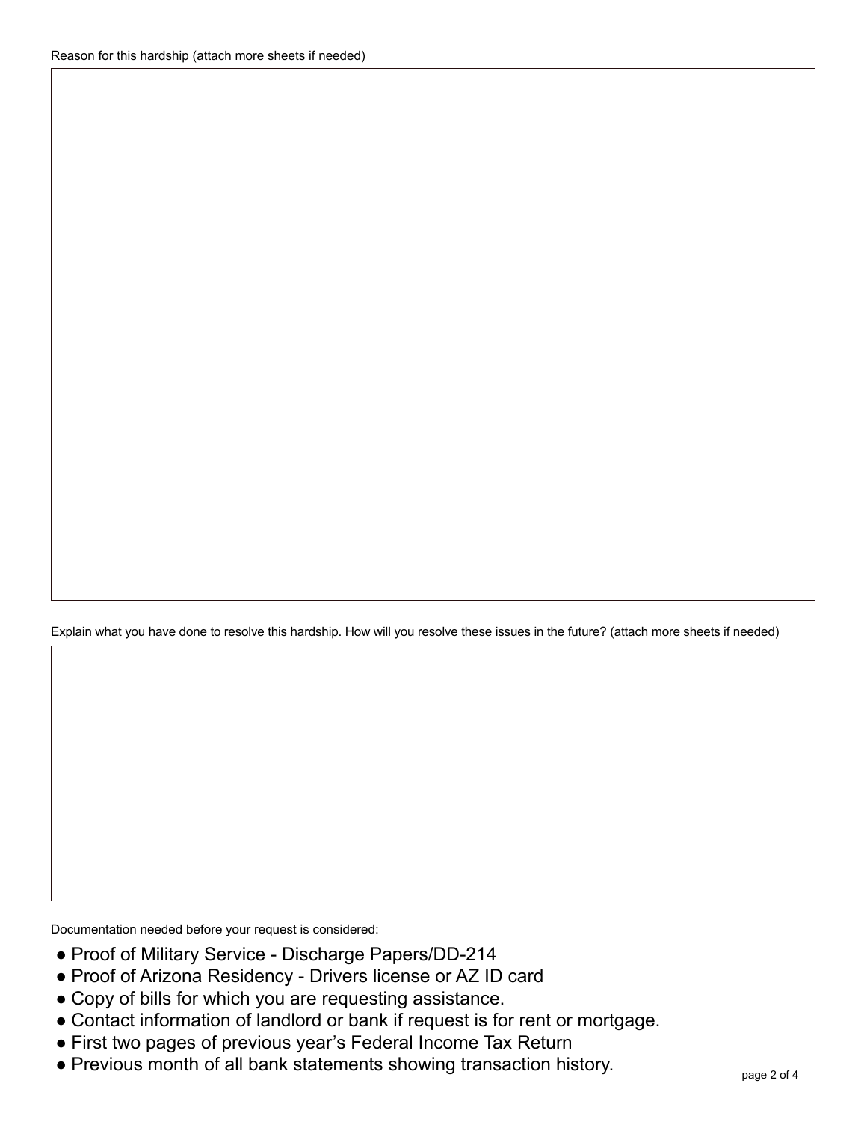Explain what you have done to resolve this hardship. How will you resolve these issues in the future? (attach more sheets if needed)

Documentation needed before your request is considered:

- Proof of Military Service Discharge Papers/DD-214
- Proof of Arizona Residency Drivers license or AZ ID card
- Copy of bills for which you are requesting assistance.
- Contact information of landlord or bank if request is for rent or mortgage.
- First two pages of previous year's Federal Income Tax Return
- Previous month of all bank statements showing transaction history.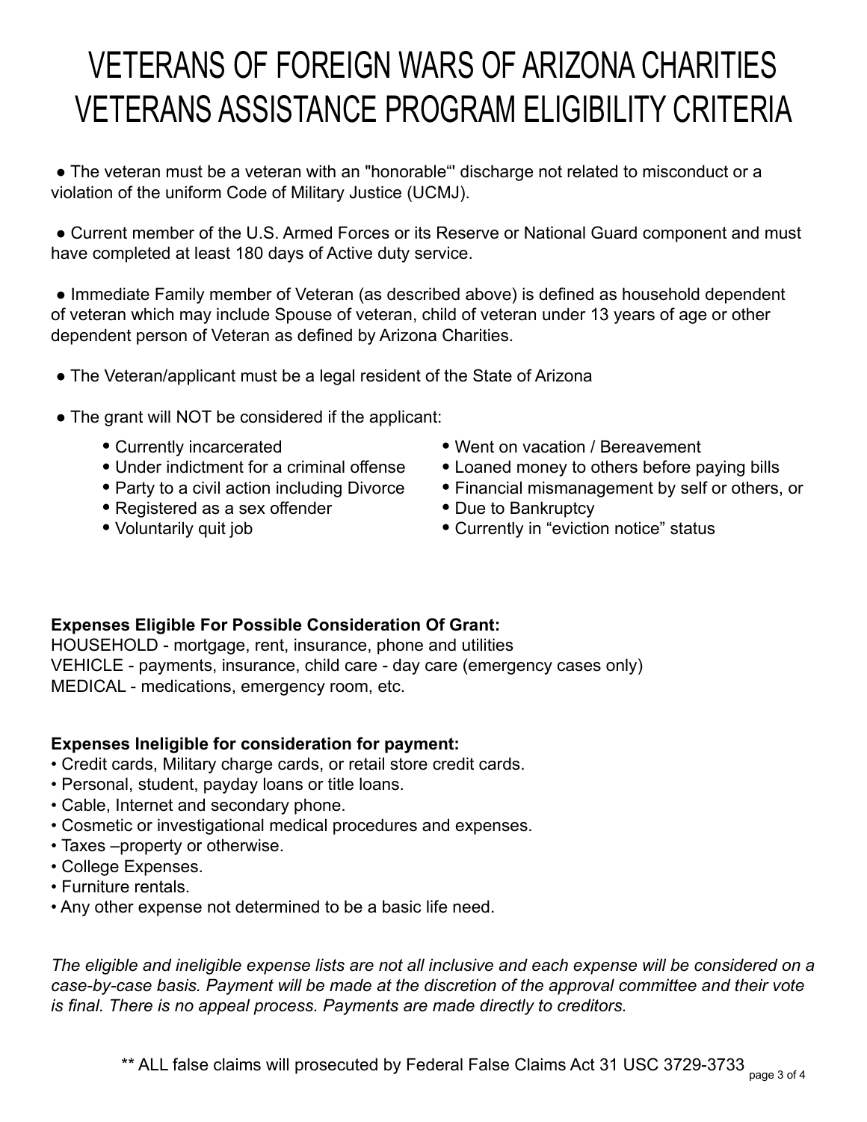## VETERANS OF FOREIGN WARS OF ARIZONA CHARITIES VETERANS ASSISTANCE PROGRAM ELIGIBILITY CRITERIA

 ● The veteran must be a veteran with an "honorable"' discharge not related to misconduct or a violation of the uniform Code of Military Justice (UCMJ).

• Current member of the U.S. Armed Forces or its Reserve or National Guard component and must have completed at least 180 days of Active duty service.

 ● Immediate Family member of Veteran (as described above) is defined as household dependent of veteran which may include Spouse of veteran, child of veteran under 13 years of age or other dependent person of Veteran as defined by Arizona Charities.

- The Veteran/applicant must be a legal resident of the State of Arizona
- The grant will NOT be considered if the applicant:
	- Currently incarcerated
	- Under indictment for a criminal offense
	- Party to a civil action including Divorce
	- Registered as a sex offender
	- Voluntarily quit job
- Went on vacation / Bereavement
- Loaned money to others before paying bills
- Financial mismanagement by self or others, or
- Due to Bankruptcy
- Currently in "eviction notice" status

#### **Expenses Eligible For Possible Consideration Of Grant:**

HOUSEHOLD - mortgage, rent, insurance, phone and utilities VEHICLE - payments, insurance, child care - day care (emergency cases only) MEDICAL - medications, emergency room, etc.

#### **Expenses Ineligible for consideration for payment:**

- Credit cards, Military charge cards, or retail store credit cards.
- Personal, student, payday loans or title loans.
- Cable, Internet and secondary phone.
- Cosmetic or investigational medical procedures and expenses.
- Taxes –property or otherwise.
- College Expenses.
- Furniture rentals.
- Any other expense not determined to be a basic life need.

*The eligible and ineligible expense lists are not all inclusive and each expense will be considered on a case-by-case basis. Payment will be made at the discretion of the approval committee and their vote is final. There is no appeal process. Payments are made directly to creditors.*